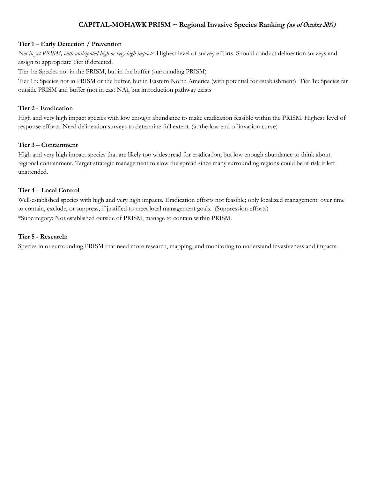# **CAPITAL-MOHAWK PRISM ~ Regional Invasive Species Ranking (as of October <sup>201</sup>***8***)**

## **Tier 1** – **Early Detection / Prevention**

*Not in yet PRISM, with anticipated high or very high impacts.* Highest level of survey efforts. Should conduct delineation surveys and assign to appropriate Tier if detected.

Tier 1a: Species not in the PRISM, but in the buffer (surrounding PRISM)

Tier 1b: Species not in PRISM or the buffer, but in Eastern North America (with potential for establishment) Tier 1c: Species far outside PRISM and buffer (not in east NA), but introduction pathway exists

#### **Tier 2 - Eradication**

High and very high impact species with low enough abundance to make eradication feasible within the PRISM. Highest level of response efforts. Need delineation surveys to determine full extent. (at the low end of invasion curve)

### **Tier 3 – Containment**

High and very high impact species that are likely too widespread for eradication, but low enough abundance to think about regional containment. Target strategic management to slow the spread since many surrounding regions could be at risk if left unattended.

#### **Tier 4** – **Local Control**

Well-established species with high and very high impacts. Eradication efforts not feasible; only localized management over time to contain, exclude, or suppress, if justified to meet local management goals. (Suppression efforts) \*Subcategory: Not established outside of PRISM, manage to contain within PRISM.

#### **Tier 5 - Research:**

Species in or surrounding PRISM that need more research, mapping, and monitoring to understand invasiveness and impacts.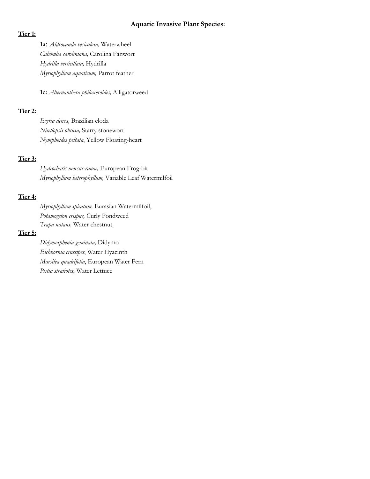## **Aquatic Invasive Plant Species:**

## **Tier 1:**

**1a**: *Aldrovanda vesiculosa,* Waterwheel *Cabomba caroliniana,* Carolina Fanwort *Hydrilla verticillata,* Hydrilla *Myriophyllum aquaticum,* Parrot feather

**1c:** *Alternanthera philoxeroides,* Alligatorweed

## **Tier 2:**

*Egeria densa,* Brazilian eloda *Nitellopsis obtusa,* Starry stonewort *Nymphoides peltata*, Yellow Floating-heart

### **Tier 3:**

*Hydrocharis morsus-ranae,* European Frog-bit *Myriophyllum heterophyllum,* Variable Leaf Watermilfoil

## **Tier 4:**

*Myriophyllum spicatum,* Eurasian Watermilfoil, *Potamogeton crispus,* Curly Pondweed *Trapa natans,* Water chestnut

## **Tier 5:**

*Didymosphenia geminata,* Didymo *Eichhornia crassipes*, Water Hyacinth *Marsilea quadrifolia*, European Water Fern *Pistia stratiotes*, Water Lettuce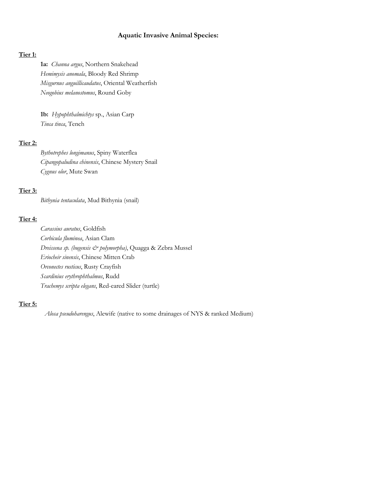## **Aquatic Invasive Animal Species:**

#### **Tier 1:**

**1a:** *Channa argus*, Northern Snakehead *Hemimysis anomala*, Bloody Red Shrimp *Misgurnus anguillicaudatus*, Oriental Weatherfish *Neogobius melanostomus*, Round Goby

**1b:** *Hypophthalmichtys* sp., Asian Carp *Tinca tinca*, Tench

## **Tier 2:**

*Bythotrephes longimanus*, Spiny Waterflea *Cipangopaludina chinensis*, Chinese Mystery Snail *Cygnus olor*, Mute Swan

## **Tier 3:**

*Bithynia tentaculata*, Mud Bithynia (snail)

## **Tier 4:**

*Carassius auratus*, Goldfish *Corbicula fluminea*, Asian Clam *Dreissena sp. (bugensis & polymorpha)*, Quagga & Zebra Mussel *Eriocheir sinensis*, Chinese Mitten Crab *Orconectes rusticus*, Rusty Crayfish *Scardinius erythrophthalmus*, Rudd *Trachemys scripta elegans*, Red-eared Slider (turtle)

### **Tier 5:**

*Alosa pseudoharengus*, Alewife (native to some drainages of NYS & ranked Medium)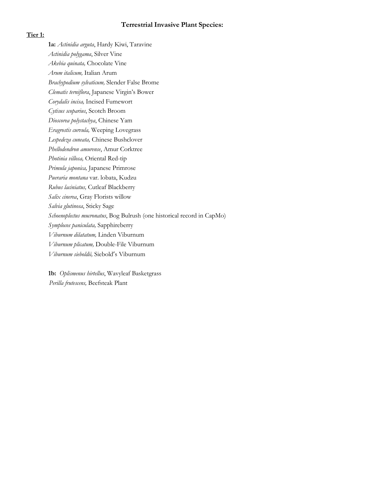## **Terrestrial Invasive Plant Species:**

## **Tier 1:**

**1a:** *Actinidia arguta*, Hardy Kiwi, Taravine *Actinidia polygama*, Silver Vine *Akebia quinata,* Chocolate Vine *Arum italicum,* Italian Arum *Brachypodium sylvaticum,* Slender False Brome *Clematis terniflora*, Japanese Virgin's Bower *Corydalis incisa,* Incised Fumewort *Cytisus scoparius*, Scotch Broom *Dioscorea polystachya*, Chinese Yam *Eragrostis curvula,* Weeping Lovegrass *Lespedeza cuneata,* Chinese Bushclover *Phellodendron amurense*, Amur Corktree *Photinia villosa,* Oriental Red-tip *Primula japonica,* Japanese Primrose *Pueraria montana* var. lobata, Kudzu *Rubus laciniatus,* Cutleaf Blackberry *Salix cinerea*, Gray Florists willow *Salvia glutinosa*, Sticky Sage *Schoenoplectus mucronatus*, Bog Bulrush (one historical record in CapMo) *Symplocos paniculata,* Sapphireberry *Viburnum dilatatum,* Linden Viburnum *Viburnum plicatum,* Double-File Viburnum *Viburnum sieboldii,* Siebold's Viburnum

**1b:** *Oplismenus hirtellus*, Wavyleaf Basketgrass *Perilla frutescens,* Beefsteak Plant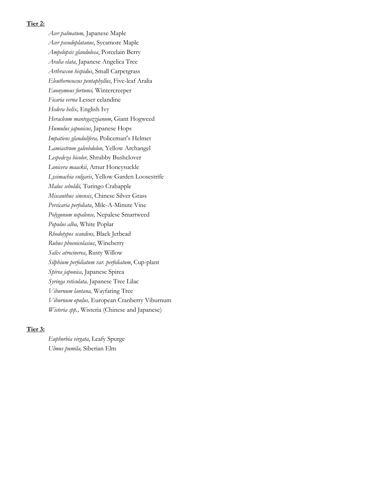#### **Tier 2:**

*Acer palmatum,* Japanese Maple *Acer pseudoplatanus*, Sycamore Maple *Ampelopsis glandulosa*, Porcelain Berry *Aralia elata*, Japanese Angelica Tree *Arthraxon hispidus*, Small Carpetgrass *Eleutherococcus pentaphyllus*, Five-leaf Aralia *Euonymous fortunei,* Wintercreeper *Ficaria verna* Lesser celandine *Hedera helix,* English Ivy *Heracleum mantegazzianum*, Giant Hogweed *Humulus japonicus*, Japanese Hops *Impatiens glandulifera,* Policeman's Helmet *Lamiastrum galeobdolon,* Yellow Archangel *Lespedeza bicolor,* Shrubby Bushclover *Lonicera maackii*, Amur Honeysuckle *Lysimachia vulgaris*, Yellow Garden Loosestrife *Malus seboldii,* Turingo Crabapple *Miscanthus sinensis*, Chinese Silver Grass *Persicaria perfoliata*, Mile-A-Minute Vine *Polygonum nepalense,* Nepalese Smartweed *Populus alba,* White Poplar *Rhodotypos scandens,* Black Jetbead *Rubus phoenicolasius*, Wineberry *Salix atrocinerea*, Rusty Willow *Silphium perfoliatum var. perfoliatum*, Cup-plant *Spirea japonica,* Japanese Spirea *Syringa reticulata,* Japanese Tree Lilac *Viburnum lantana,* Wayfaring Tree *Viburnum opulus,* European Cranberry Viburnum *Wisteria spp.,* Wisteria (Chinese and Japanese)

## **Tier 3:**

*Euphorbia virgata*, Leafy Spurge *Ulmus pumila,* Siberian Elm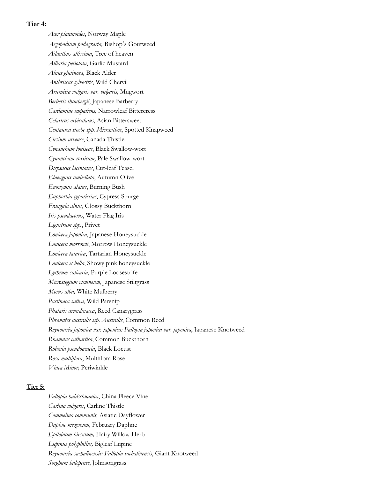## **Tier 4:**

*Acer platanoides*, Norway Maple *Aegopodium podagraria,* Bishop's Goutweed *Ailanthus altissima*, Tree of heaven *Alliaria petiolata*, Garlic Mustard *Alnus glutinosa,* Black Alder *Anthriscus sylvestris*, Wild Chervil *Artemisia vulgaris var. vulgaris*, Mugwort *Berberis thunbergii*, Japanese Barberry *Cardamine impatiens*, Narrowleaf Bittercress *Celastrus orbiculatus*, Asian Bittersweet *Centaurea stoebe spp. Micranthos*, Spotted Knapweed *Cirsium arvense*, Canada Thistle *Cynanchum louiseae*, Black Swallow-wort *Cynanchum rossicum*, Pale Swallow-wort *Dispsacus laciniatus*, Cut-leaf Teasel *Elaeagnus umbellata*, Autumn Olive *Euonymus alatus*, Burning Bush *Euphorbia cyparissias*, Cypress Spurge *Frangula alnus*, Glossy Buckthorn *Iris pseudacorus*, Water Flag Iris *Ligustrum spp.*, Privet *Lonicera japonica*, Japanese Honeysuckle *Lonicera morrowii*, Morrow Honeysuckle *Lonicera tatarica*, Tartarian Honeysuckle *Lonicera x bella*, Showy pink honeysuckle *Lythrum salicaria*, Purple Loosestrife *Microstegium vimineum*, Japanese Stiltgrass *Morus alba,* White Mulberry *Pastinaca sativa*, Wild Parsnip *Phalaris arundinacea*, Reed Canarygrass *Phramites australis ssp. Australis*, Common Reed *Reynoutria japonica var. japonica: Fallopia japonica var. japonica*, Japanese Knotweed *Rhamnus cathartica*, Common Buckthorn *Robinia pseudoacacia*, Black Locust *Rosa multiflora*, Multiflora Rose *Vinca Minor,* Periwinkle

#### **Tier 5:**

*Fallopia baldschuanica*, China Fleece Vine *Carlina vulgaris*, Carline Thistle *Commelina communis,* Asiatic Dayflower *Daphne mezereum,* February Daphne *Epilobium hirsutum,* Hairy Willow Herb *Lupinus polyphillus,* Bigleaf Lupine *Reynoutria sachalinensis: Fallopia sachalinensis*, Giant Knotweed *Sorghum halepense*, Johnsongrass